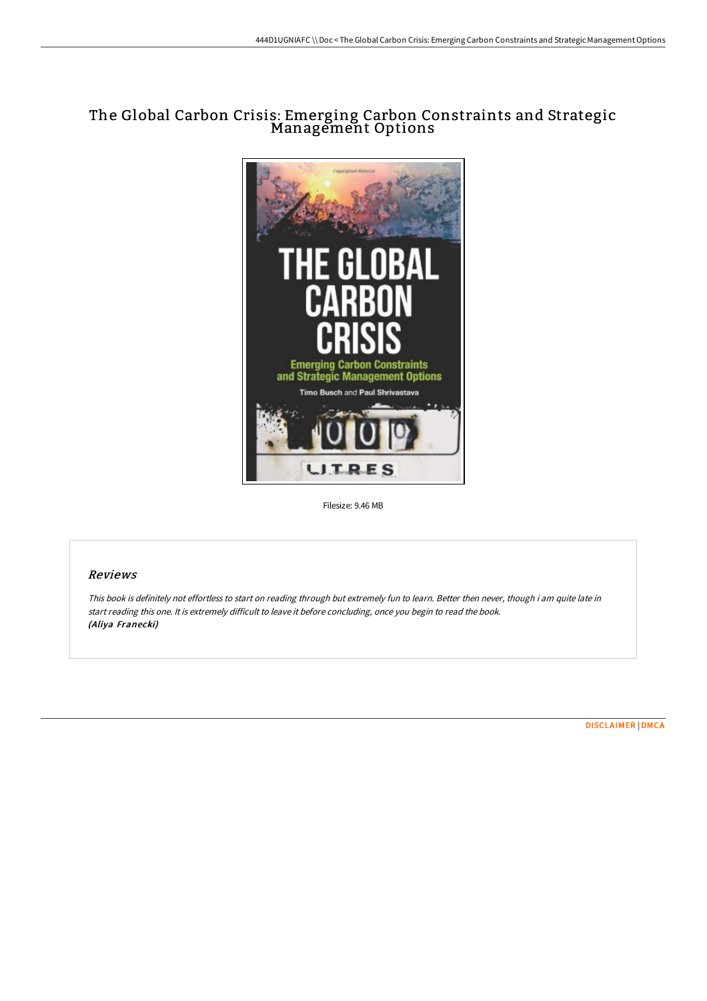# The Global Carbon Crisis: Emerging Carbon Constraints and Strategic Management Options



Filesize: 9.46 MB

### Reviews

This book is definitely not effortless to start on reading through but extremely fun to learn. Better then never, though i am quite late in start reading this one. It is extremely difficult to leave it before concluding, once you begin to read the book. (Aliya Franecki)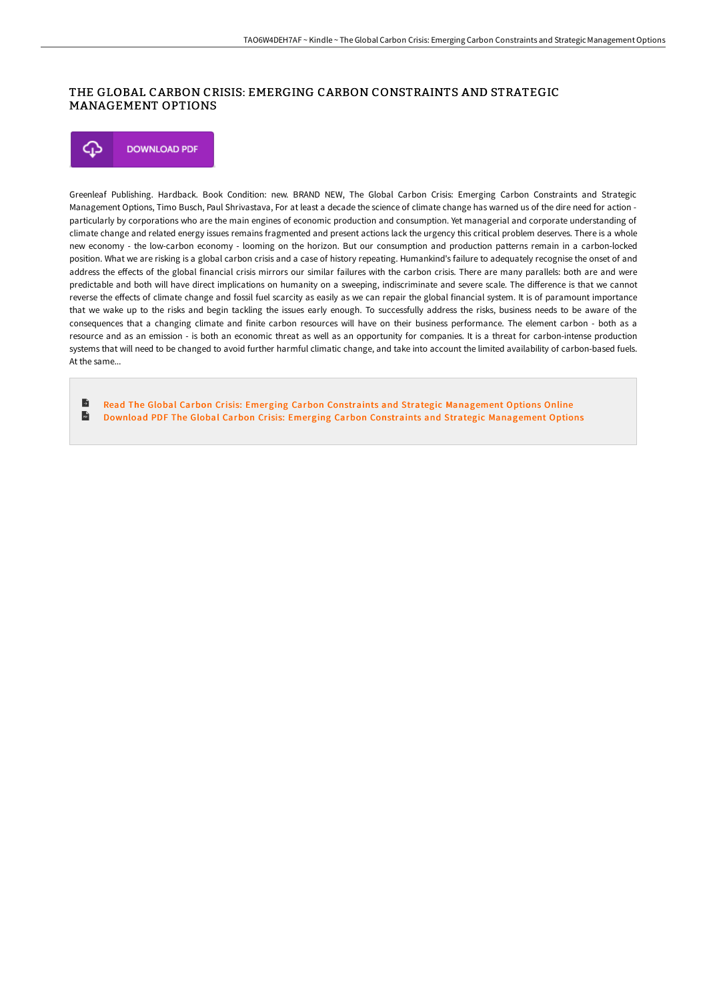## THE GLOBAL CARBON CRISIS: EMERGING CARBON CONSTRAINTS AND STRATEGIC MANAGEMENT OPTIONS

⊕ **DOWNLOAD PDF** 

Greenleaf Publishing. Hardback. Book Condition: new. BRAND NEW, The Global Carbon Crisis: Emerging Carbon Constraints and Strategic Management Options, Timo Busch, Paul Shrivastava, For at least a decade the science of climate change has warned us of the dire need for action particularly by corporations who are the main engines of economic production and consumption. Yet managerial and corporate understanding of climate change and related energy issues remains fragmented and present actions lack the urgency this critical problem deserves. There is a whole new economy - the low-carbon economy - looming on the horizon. But our consumption and production patterns remain in a carbon-locked position. What we are risking is a global carbon crisis and a case of history repeating. Humankind's failure to adequately recognise the onset of and address the effects of the global financial crisis mirrors our similar failures with the carbon crisis. There are many parallels: both are and were predictable and both will have direct implications on humanity on a sweeping, indiscriminate and severe scale. The difference is that we cannot reverse the effects of climate change and fossil fuel scarcity as easily as we can repair the global financial system. It is of paramount importance that we wake up to the risks and begin tackling the issues early enough. To successfully address the risks, business needs to be aware of the consequences that a changing climate and finite carbon resources will have on their business performance. The element carbon - both as a resource and as an emission - is both an economic threat as well as an opportunity for companies. It is a threat for carbon-intense production systems that will need to be changed to avoid further harmful climatic change, and take into account the limited availability of carbon-based fuels. At the same...

B Read The Global Carbon Crisis: Emerging Carbon Constraints and Strategic [Management](http://albedo.media/the-global-carbon-crisis-emerging-carbon-constra.html) Options Online  $\mathbf{H}$ Download PDF The Global Carbon Crisis: Emerging Carbon Constraints and Strategic [Management](http://albedo.media/the-global-carbon-crisis-emerging-carbon-constra.html) Options